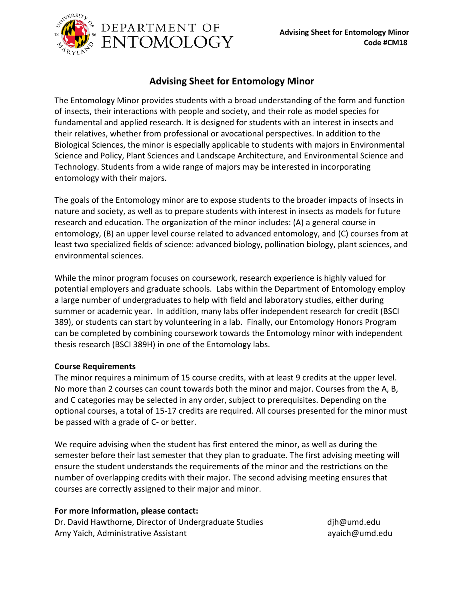

## **Advising Sheet for Entomology Minor**

The Entomology Minor provides students with a broad understanding of the form and function of insects, their interactions with people and society, and their role as model species for fundamental and applied research. It is designed for students with an interest in insects and their relatives, whether from professional or avocational perspectives. In addition to the Biological Sciences, the minor is especially applicable to students with majors in Environmental Science and Policy, Plant Sciences and Landscape Architecture, and Environmental Science and Technology. Students from a wide range of majors may be interested in incorporating entomology with their majors.

The goals of the Entomology minor are to expose students to the broader impacts of insects in nature and society, as well as to prepare students with interest in insects as models for future research and education. The organization of the minor includes: (A) a general course in entomology, (B) an upper level course related to advanced entomology, and (C) courses from at least two specialized fields of science: advanced biology, pollination biology, plant sciences, and environmental sciences.

While the minor program focuses on coursework, research experience is highly valued for potential employers and graduate schools. Labs within the Department of Entomology employ a large number of undergraduates to help with field and laboratory studies, either during summer or academic year. In addition, many labs offer independent research for credit (BSCI 389), or students can start by volunteering in a lab. Finally, our Entomology Honors Program can be completed by combining coursework towards the Entomology minor with independent thesis research (BSCI 389H) in one of the Entomology labs.

## **Course Requirements**

The minor requires a minimum of 15 course credits, with at least 9 credits at the upper level. No more than 2 courses can count towards both the minor and major. Courses from the A, B, and C categories may be selected in any order, subject to prerequisites. Depending on the optional courses, a total of 15-17 credits are required. All courses presented for the minor must be passed with a grade of C- or better.

We require advising when the student has first entered the minor, as well as during the semester before their last semester that they plan to graduate. The first advising meeting will ensure the student understands the requirements of the minor and the restrictions on the number of overlapping credits with their major. The second advising meeting ensures that courses are correctly assigned to their major and minor.

## **For more information, please contact:**

Dr. David Hawthorne, Director of Undergraduate Studies and the dih @umd.edu Amy Yaich, Administrative Assistant and an avaich@umd.edu